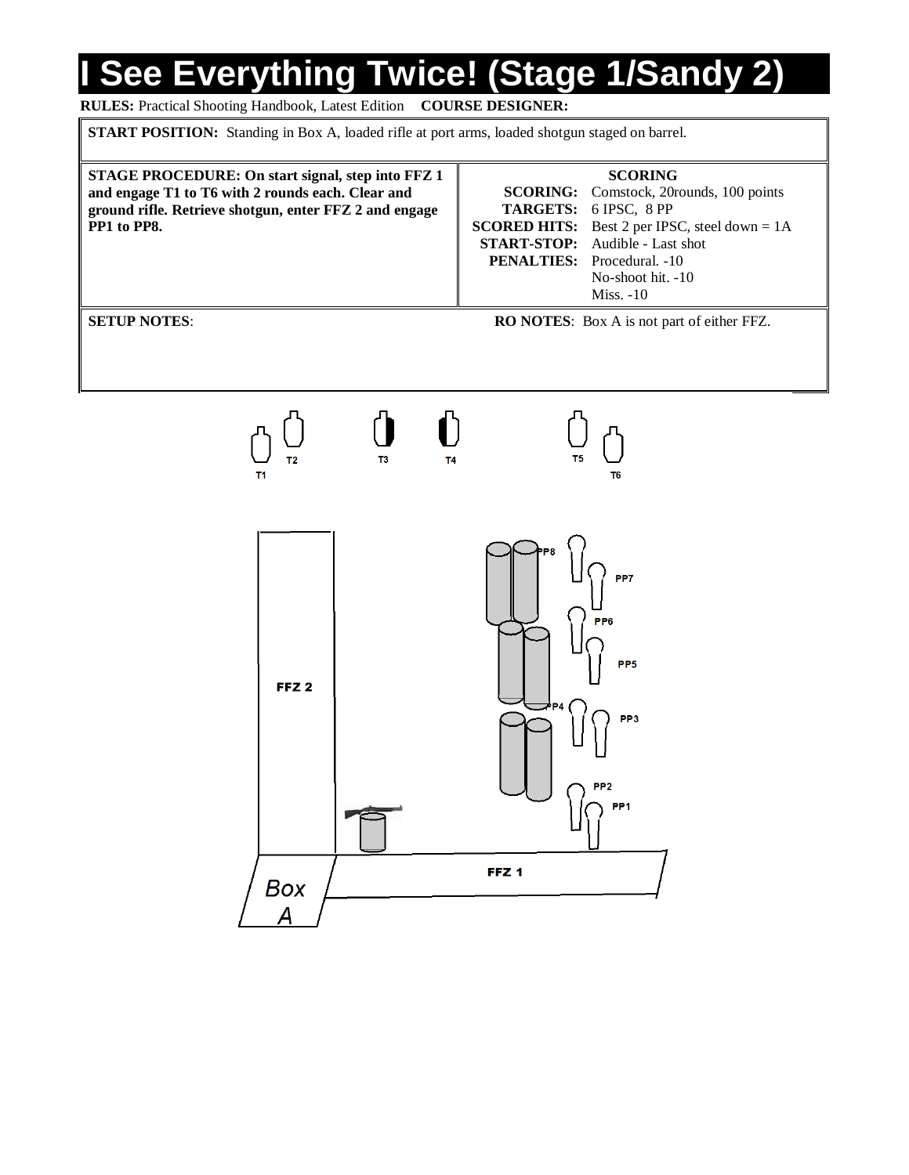# **I See Everything Twice! (Stage 1/Sandy 2)**

#### **RULES:** Practical Shooting Handbook, Latest Edition **COURSE DESIGNER:**

**START POSITION:** Standing in Box A, loaded rifle at port arms, loaded shotgun staged on barrel.



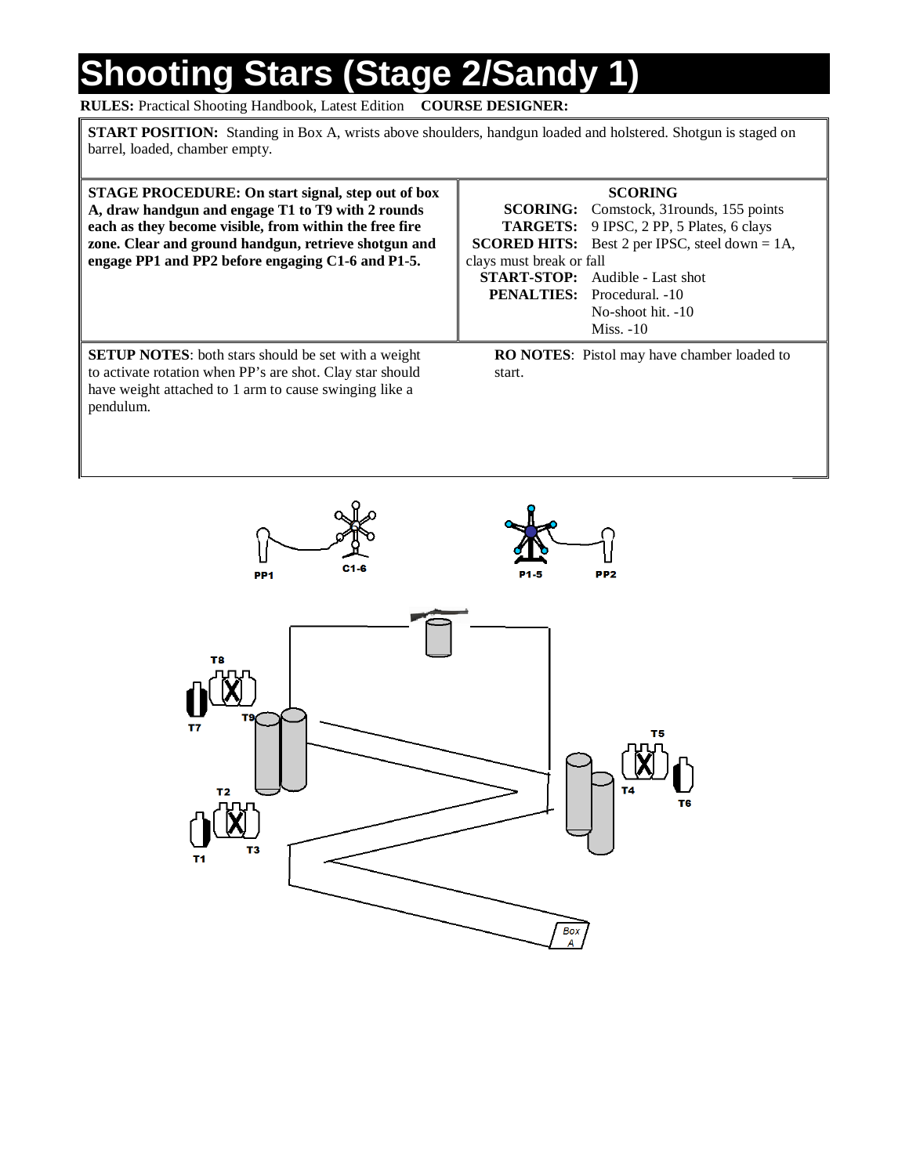### **Shooting Stars (Stage 2/Sandy 1)**

**RULES:** Practical Shooting Handbook, Latest Edition **COURSE DESIGNER:**

**START POSITION:** Standing in Box A, wrists above shoulders, handgun loaded and holstered. Shotgun is staged on barrel, loaded, chamber empty.

| STAGE PROCEDURE: On start signal, step out of box<br>A, draw handgun and engage T1 to T9 with 2 rounds<br>each as they become visible, from within the free fire<br>zone. Clear and ground handgun, retrieve shotgun and<br>engage PP1 and PP2 before engaging C1-6 and P1-5. | <b>SCORING</b><br><b>SCORING:</b> Comstock, 31rounds, 155 points<br><b>TARGETS:</b> 9 IPSC, 2 PP, 5 Plates, 6 clays<br><b>SCORED HITS:</b> Best 2 per IPSC, steel down $= 1A$ ,<br>clays must break or fall<br><b>START-STOP:</b> Audible - Last shot<br><b>PENALTIES:</b> Procedural. -10<br>No-shoot hit. -10<br>$Miss. -10$ |
|-------------------------------------------------------------------------------------------------------------------------------------------------------------------------------------------------------------------------------------------------------------------------------|--------------------------------------------------------------------------------------------------------------------------------------------------------------------------------------------------------------------------------------------------------------------------------------------------------------------------------|
| <b>SETUP NOTES:</b> both stars should be set with a weight<br>to activate rotation when PP's are shot. Clay star should<br>have weight attached to 1 arm to cause swinging like a<br>pendulum.                                                                                | <b>RO NOTES:</b> Pistol may have chamber loaded to<br>start.                                                                                                                                                                                                                                                                   |

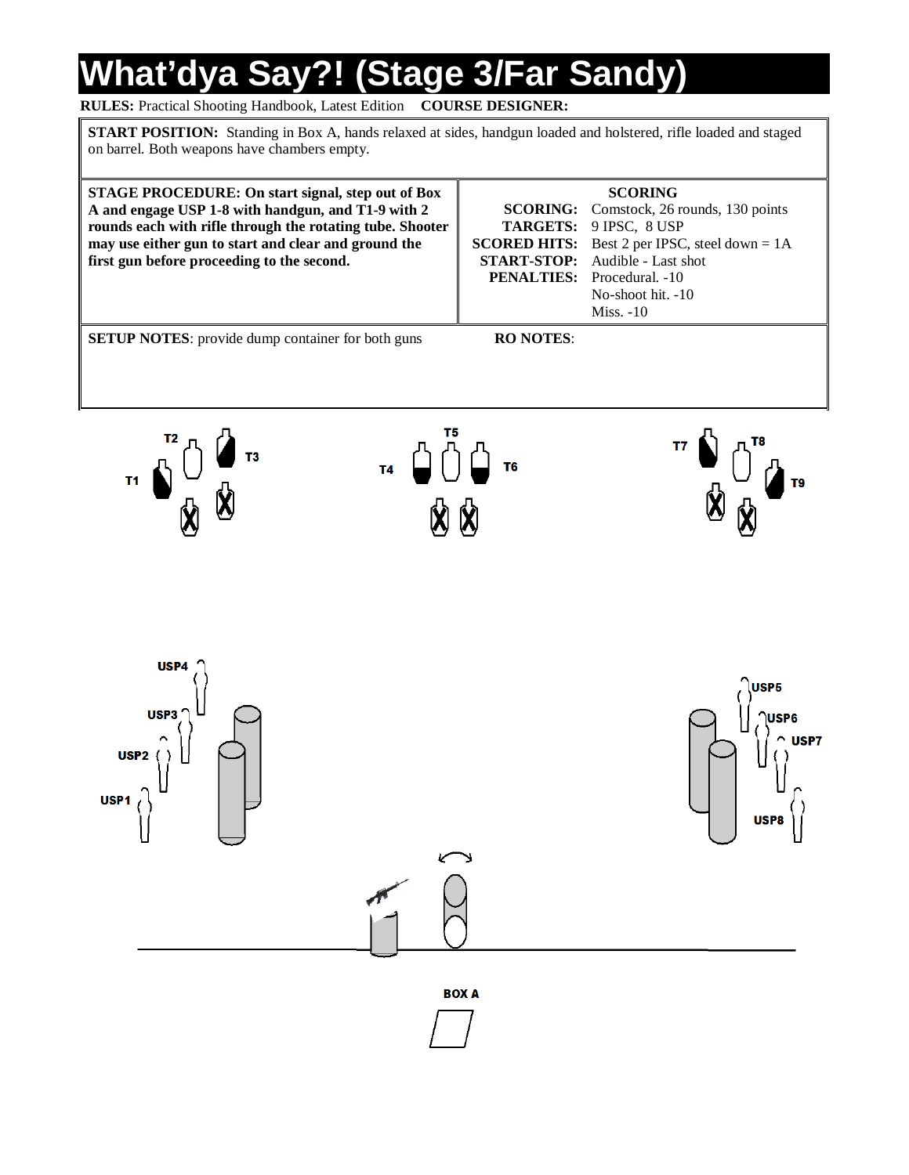# **What'dya Say?! (Stage 3/Far Sandy)**

#### **RULES:** Practical Shooting Handbook, Latest Edition **COURSE DESIGNER:**

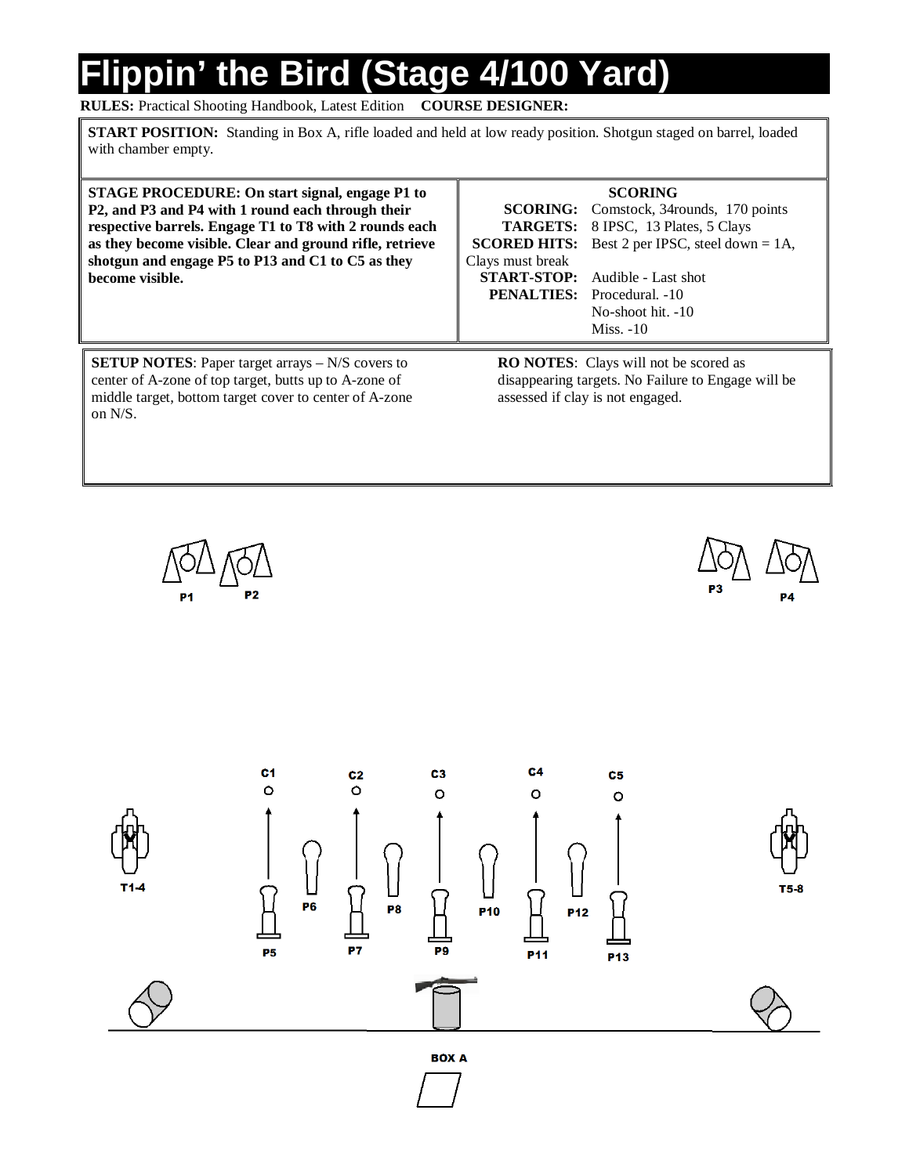# **Flippin' the Bird (Stage 4/100 Yard)**

**RULES:** Practical Shooting Handbook, Latest Edition **COURSE DESIGNER:**

**START POSITION:** Standing in Box A, rifle loaded and held at low ready position. Shotgun staged on barrel, loaded with chamber empty.

**STAGE PROCEDURE: On start signal, engage P1 to P2, and P3 and P4 with 1 round each through their respective barrels. Engage T1 to T8 with 2 rounds each as they become visible. Clear and ground rifle, retrieve shotgun and engage P5 to P13 and C1 to C5 as they become visible.**

| <b>SCORING:</b>     |  |
|---------------------|--|
| <b>TARGETS:</b>     |  |
| <b>SCORED HITS:</b> |  |
| Clays must break    |  |
| <b>START-STOP:</b>  |  |
| PENALTIES:          |  |

**SCORING**

Comstock, 34rounds, 170 points 8 IPSC, 13 Plates, 5 Clays Best 2 per IPSC, steel down = 1A, Audible - Last shot Procedural. -10 No-shoot hit. -10 Miss. -10

**SETUP NOTES:** Paper target arrays – N/S covers to center of A-zone of top target, butts up to A-zone of middle target, bottom target cover to center of A-zone on N/S.

**RO NOTES**: Clays will not be scored as disappearing targets. No Failure to Engage will be assessed if clay is not engaged.